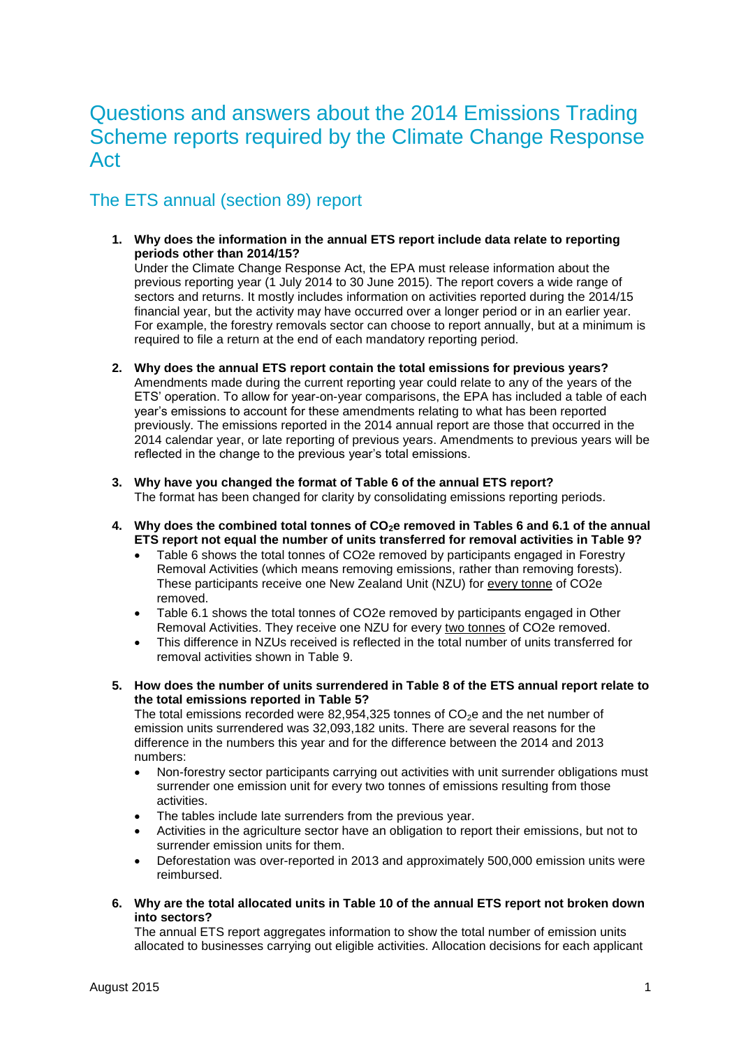# Questions and answers about the 2014 Emissions Trading Scheme reports required by the Climate Change Response Act

### The ETS annual (section 89) report

**1. Why does the information in the annual ETS report include data relate to reporting periods other than 2014/15?** Under the Climate Change Response Act, the EPA must release information about the previous reporting year (1 July 2014 to 30 June 2015). The report covers a wide range of sectors and returns. It mostly includes information on activities reported during the 2014/15

financial year, but the activity may have occurred over a longer period or in an earlier year. For example, the forestry removals sector can choose to report annually, but at a minimum is required to file a return at the end of each mandatory reporting period.

- **2. Why does the annual ETS report contain the total emissions for previous years?** Amendments made during the current reporting year could relate to any of the years of the ETS' operation. To allow for year-on-year comparisons, the EPA has included a table of each year's emissions to account for these amendments relating to what has been reported previously. The emissions reported in the 2014 annual report are those that occurred in the 2014 calendar year, or late reporting of previous years. Amendments to previous years will be reflected in the change to the previous year's total emissions.
- **3. Why have you changed the format of Table 6 of the annual ETS report?** The format has been changed for clarity by consolidating emissions reporting periods.
- **4. Why does the combined total tonnes of CO2e removed in Tables 6 and 6.1 of the annual ETS report not equal the number of units transferred for removal activities in Table 9?**
	- Table 6 shows the total tonnes of CO2e removed by participants engaged in Forestry Removal Activities (which means removing emissions, rather than removing forests). These participants receive one New Zealand Unit (NZU) for every tonne of CO2e removed.
	- Table 6.1 shows the total tonnes of CO2e removed by participants engaged in Other Removal Activities. They receive one NZU for every two tonnes of CO2e removed.
	- This difference in NZUs received is reflected in the total number of units transferred for removal activities shown in Table 9.
- **5. How does the number of units surrendered in Table 8 of the ETS annual report relate to the total emissions reported in Table 5?**

The total emissions recorded were 82,954,325 tonnes of  $CO<sub>2</sub>e$  and the net number of emission units surrendered was 32,093,182 units. There are several reasons for the difference in the numbers this year and for the difference between the 2014 and 2013 numbers:

- Non-forestry sector participants carrying out activities with unit surrender obligations must surrender one emission unit for every two tonnes of emissions resulting from those activities.
- The tables include late surrenders from the previous year.
- Activities in the agriculture sector have an obligation to report their emissions, but not to surrender emission units for them.
- Deforestation was over-reported in 2013 and approximately 500,000 emission units were reimbursed.
- **6. Why are the total allocated units in Table 10 of the annual ETS report not broken down into sectors?**

The annual ETS report aggregates information to show the total number of emission units allocated to businesses carrying out eligible activities. Allocation decisions for each applicant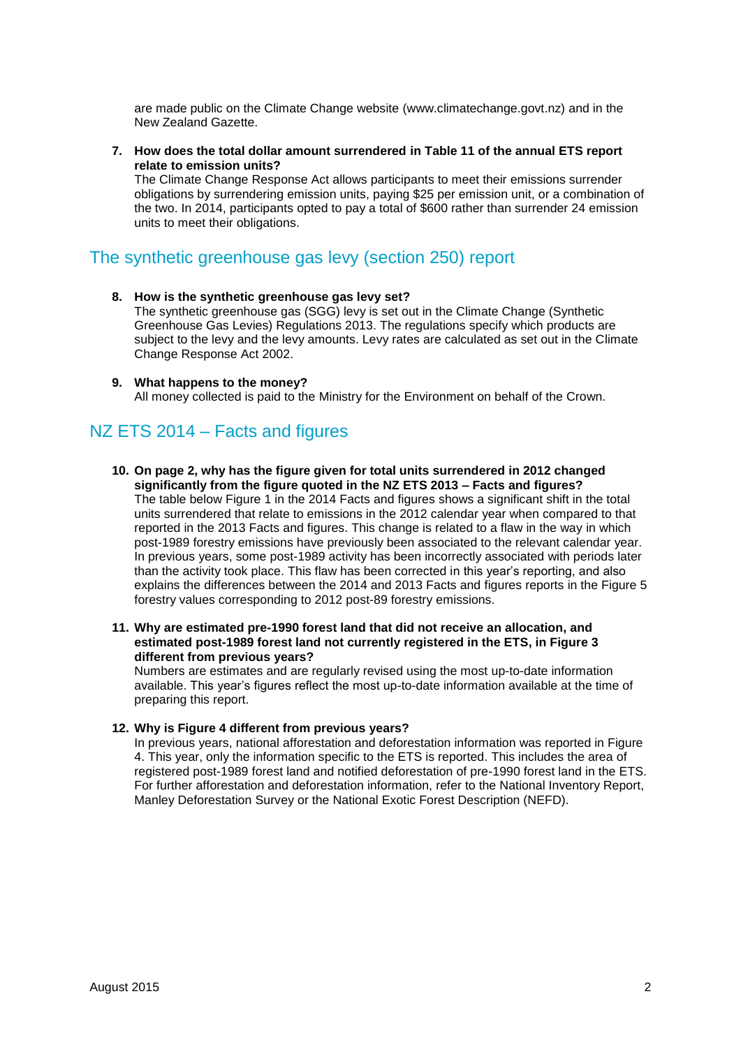are made public on the Climate Change website (www.climatechange.govt.nz) and in the New Zealand Gazette.

**7. How does the total dollar amount surrendered in Table 11 of the annual ETS report relate to emission units?**

The Climate Change Response Act allows participants to meet their emissions surrender obligations by surrendering emission units, paying \$25 per emission unit, or a combination of the two. In 2014, participants opted to pay a total of \$600 rather than surrender 24 emission units to meet their obligations.

#### The synthetic greenhouse gas levy (section 250) report

- **8. How is the synthetic greenhouse gas levy set?** The synthetic greenhouse gas (SGG) levy is set out in the Climate Change (Synthetic Greenhouse Gas Levies) Regulations 2013. The regulations specify which products are subject to the levy and the levy amounts. Levy rates are calculated as set out in the Climate Change Response Act 2002.
- **9. What happens to the money?** All money collected is paid to the Ministry for the Environment on behalf of the Crown.

### NZ ETS 2014 – Facts and figures

**10. On page 2, why has the figure given for total units surrendered in 2012 changed significantly from the figure quoted in the NZ ETS 2013 – Facts and figures?**

The table below Figure 1 in the 2014 Facts and figures shows a significant shift in the total units surrendered that relate to emissions in the 2012 calendar year when compared to that reported in the 2013 Facts and figures. This change is related to a flaw in the way in which post-1989 forestry emissions have previously been associated to the relevant calendar year. In previous years, some post-1989 activity has been incorrectly associated with periods later than the activity took place. This flaw has been corrected in this year's reporting, and also explains the differences between the 2014 and 2013 Facts and figures reports in the Figure 5 forestry values corresponding to 2012 post-89 forestry emissions.

**11. Why are estimated pre-1990 forest land that did not receive an allocation, and estimated post-1989 forest land not currently registered in the ETS, in Figure 3 different from previous years?** 

Numbers are estimates and are regularly revised using the most up-to-date information available. This year's figures reflect the most up-to-date information available at the time of preparing this report.

#### **12. Why is Figure 4 different from previous years?**

In previous years, national afforestation and deforestation information was reported in Figure 4. This year, only the information specific to the ETS is reported. This includes the area of registered post-1989 forest land and notified deforestation of pre-1990 forest land in the ETS. For further afforestation and deforestation information, refer to the National Inventory Report, Manley Deforestation Survey or the National Exotic Forest Description (NEFD).